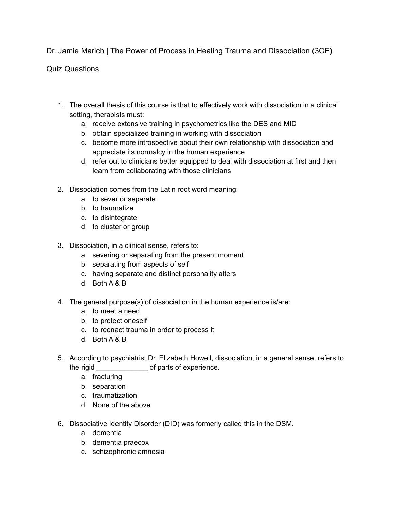Dr. Jamie Marich | The Power of Process in Healing Trauma and Dissociation (3CE)

Quiz Questions

- 1. The overall thesis of this course is that to effectively work with dissociation in a clinical setting, therapists must:
	- a. receive extensive training in psychometrics like the DES and MID
	- b. obtain specialized training in working with dissociation
	- c. become more introspective about their own relationship with dissociation and appreciate its normalcy in the human experience
	- d. refer out to clinicians better equipped to deal with dissociation at first and then learn from collaborating with those clinicians
- 2. Dissociation comes from the Latin root word meaning:
	- a. to sever or separate
	- b. to traumatize
	- c. to disintegrate
	- d. to cluster or group
- 3. Dissociation, in a clinical sense, refers to:
	- a. severing or separating from the present moment
	- b. separating from aspects of self
	- c. having separate and distinct personality alters
	- d. Both A & B
- 4. The general purpose(s) of dissociation in the human experience is/are:
	- a. to meet a need
	- b. to protect oneself
	- c. to reenact trauma in order to process it
	- d. Both A & B
- 5. According to psychiatrist Dr. Elizabeth Howell, dissociation, in a general sense, refers to the rigid \_\_\_\_\_\_\_\_\_\_\_\_\_ of parts of experience.
	- a. fracturing
	- b. separation
	- c. traumatization
	- d. None of the above
- 6. Dissociative Identity Disorder (DID) was formerly called this in the DSM.
	- a. dementia
	- b. dementia praecox
	- c. schizophrenic amnesia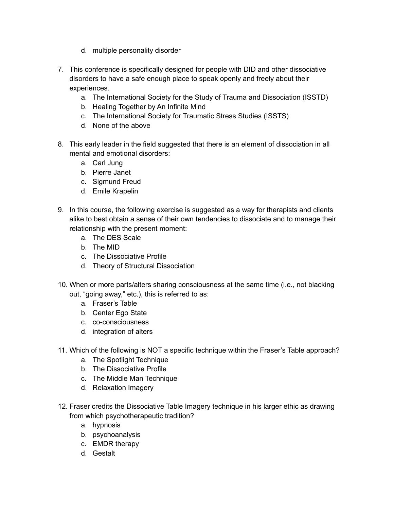- d. multiple personality disorder
- 7. This conference is specifically designed for people with DID and other dissociative disorders to have a safe enough place to speak openly and freely about their experiences.
	- a. The International Society for the Study of Trauma and Dissociation (ISSTD)
	- b. Healing Together by An Infinite Mind
	- c. The International Society for Traumatic Stress Studies (ISSTS)
	- d. None of the above
- 8. This early leader in the field suggested that there is an element of dissociation in all mental and emotional disorders:
	- a. Carl Jung
	- b. Pierre Janet
	- c. Sigmund Freud
	- d. Emile Krapelin
- 9. In this course, the following exercise is suggested as a way for therapists and clients alike to best obtain a sense of their own tendencies to dissociate and to manage their relationship with the present moment:
	- a. The DES Scale
	- b. The MID
	- c. The Dissociative Profile
	- d. Theory of Structural Dissociation
- 10. When or more parts/alters sharing consciousness at the same time (i.e., not blacking out, "going away," etc.), this is referred to as:
	- a. Fraser's Table
	- b. Center Ego State
	- c. co-consciousness
	- d. integration of alters
- 11. Which of the following is NOT a specific technique within the Fraser's Table approach?
	- a. The Spotlight Technique
	- b. The Dissociative Profile
	- c. The Middle Man Technique
	- d. Relaxation Imagery
- 12. Fraser credits the Dissociative Table Imagery technique in his larger ethic as drawing from which psychotherapeutic tradition?
	- a. hypnosis
	- b. psychoanalysis
	- c. EMDR therapy
	- d. Gestalt